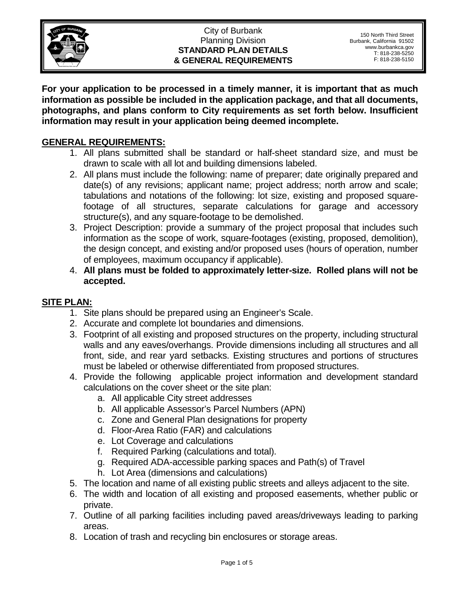

#### City of Burbank Planning Division **STANDARD PLAN DETAILS & GENERAL REQUIREMENTS**

**For your application to be processed in a timely manner, it is important that as much information as possible be included in the application package, and that all documents, photographs, and plans conform to City requirements as set forth below. Insufficient information may result in your application being deemed incomplete.** 

### **GENERAL REQUIREMENTS:**

- 1. All plans submitted shall be standard or half-sheet standard size, and must be drawn to scale with all lot and building dimensions labeled.
- 2. All plans must include the following: name of preparer; date originally prepared and date(s) of any revisions; applicant name; project address; north arrow and scale; tabulations and notations of the following: lot size, existing and proposed squarefootage of all structures, separate calculations for garage and accessory structure(s), and any square-footage to be demolished.
- 3. Project Description: provide a summary of the project proposal that includes such information as the scope of work, square-footages (existing, proposed, demolition), the design concept, and existing and/or proposed uses (hours of operation, number of employees, maximum occupancy if applicable).
- 4. **All plans must be folded to approximately letter-size. Rolled plans will not be accepted.**

### **SITE PLAN:**

- 1. Site plans should be prepared using an Engineer's Scale.
- 2. Accurate and complete lot boundaries and dimensions.
- 3. Footprint of all existing and proposed structures on the property, including structural walls and any eaves/overhangs. Provide dimensions including all structures and all front, side, and rear yard setbacks. Existing structures and portions of structures must be labeled or otherwise differentiated from proposed structures.
- 4. Provide the following applicable project information and development standard calculations on the cover sheet or the site plan:
	- a. All applicable City street addresses
	- b. All applicable Assessor's Parcel Numbers (APN)
	- c. Zone and General Plan designations for property
	- d. Floor-Area Ratio (FAR) and calculations
	- e. Lot Coverage and calculations
	- f. Required Parking (calculations and total).
	- g. Required ADA-accessible parking spaces and Path(s) of Travel
	- h. Lot Area (dimensions and calculations)
- 5. The location and name of all existing public streets and alleys adjacent to the site.
- 6. The width and location of all existing and proposed easements, whether public or private.
- 7. Outline of all parking facilities including paved areas/driveways leading to parking areas.
- 8. Location of trash and recycling bin enclosures or storage areas.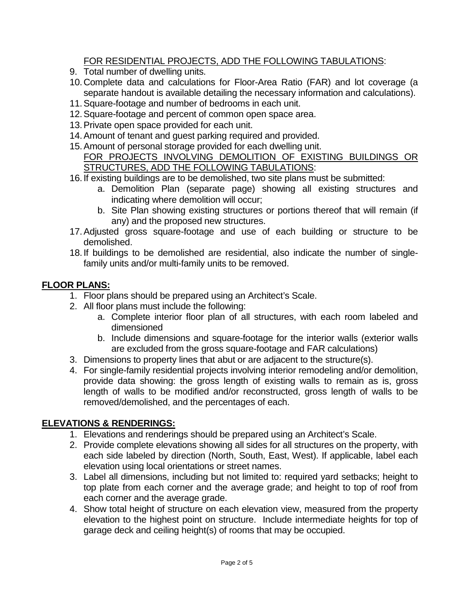### FOR RESIDENTIAL PROJECTS, ADD THE FOLLOWING TABULATIONS:

- 9. Total number of dwelling units.
- 10.Complete data and calculations for Floor-Area Ratio (FAR) and lot coverage (a separate handout is available detailing the necessary information and calculations).
- 11.Square-footage and number of bedrooms in each unit.
- 12.Square-footage and percent of common open space area.
- 13.Private open space provided for each unit.
- 14.Amount of tenant and guest parking required and provided.
- 15.Amount of personal storage provided for each dwelling unit. FOR PROJECTS INVOLVING DEMOLITION OF EXISTING BUILDINGS OR STRUCTURES, ADD THE FOLLOWING TABULATIONS:
- 16.If existing buildings are to be demolished, two site plans must be submitted:
	- a. Demolition Plan (separate page) showing all existing structures and indicating where demolition will occur;
	- b. Site Plan showing existing structures or portions thereof that will remain (if any) and the proposed new structures.
- 17.Adjusted gross square-footage and use of each building or structure to be demolished.
- 18.If buildings to be demolished are residential, also indicate the number of singlefamily units and/or multi-family units to be removed.

# **FLOOR PLANS:**

- 1. Floor plans should be prepared using an Architect's Scale.
- 2. All floor plans must include the following:
	- a. Complete interior floor plan of all structures, with each room labeled and dimensioned
	- b. Include dimensions and square-footage for the interior walls (exterior walls are excluded from the gross square-footage and FAR calculations)
- 3. Dimensions to property lines that abut or are adjacent to the structure(s).
- 4. For single-family residential projects involving interior remodeling and/or demolition, provide data showing: the gross length of existing walls to remain as is, gross length of walls to be modified and/or reconstructed, gross length of walls to be removed/demolished, and the percentages of each.

# **ELEVATIONS & RENDERINGS:**

- 1. Elevations and renderings should be prepared using an Architect's Scale.
- 2. Provide complete elevations showing all sides for all structures on the property, with each side labeled by direction (North, South, East, West). If applicable, label each elevation using local orientations or street names.
- 3. Label all dimensions, including but not limited to: required yard setbacks; height to top plate from each corner and the average grade; and height to top of roof from each corner and the average grade.
- 4. Show total height of structure on each elevation view, measured from the property elevation to the highest point on structure. Include intermediate heights for top of garage deck and ceiling height(s) of rooms that may be occupied.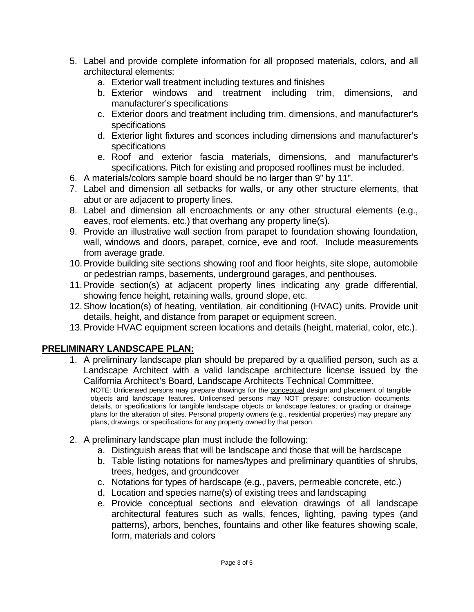- 5. Label and provide complete information for all proposed materials, colors, and all architectural elements:
	- a. Exterior wall treatment including textures and finishes
	- b. Exterior windows and treatment including trim, dimensions, and manufacturer's specifications
	- c. Exterior doors and treatment including trim, dimensions, and manufacturer's specifications
	- d. Exterior light fixtures and sconces including dimensions and manufacturer's specifications
	- e. Roof and exterior fascia materials, dimensions, and manufacturer's specifications. Pitch for existing and proposed rooflines must be included.
- 6. A materials/colors sample board should be no larger than 9" by 11".
- 7. Label and dimension all setbacks for walls, or any other structure elements, that abut or are adjacent to property lines.
- 8. Label and dimension all encroachments or any other structural elements (e.g., eaves, roof elements, etc.) that overhang any property line(s).
- 9. Provide an illustrative wall section from parapet to foundation showing foundation, wall, windows and doors, parapet, cornice, eve and roof. Include measurements from average grade.
- 10.Provide building site sections showing roof and floor heights, site slope, automobile or pedestrian ramps, basements, underground garages, and penthouses.
- 11.Provide section(s) at adjacent property lines indicating any grade differential, showing fence height, retaining walls, ground slope, etc.
- 12.Show location(s) of heating, ventilation, air conditioning (HVAC) units. Provide unit details, height, and distance from parapet or equipment screen.
- 13.Provide HVAC equipment screen locations and details (height, material, color, etc.).

# **PRELIMINARY LANDSCAPE PLAN:**

1. A preliminary landscape plan should be prepared by a qualified person, such as a Landscape Architect with a valid landscape architecture license issued by the California Architect's Board, Landscape Architects Technical Committee.

NOTE: Unlicensed persons may prepare drawings for the **conceptual design and placement of tangible** objects and landscape features. Unlicensed persons may NOT prepare: construction documents, details, or specifications for tangible landscape objects or landscape features; or grading or drainage plans for the alteration of sites. Personal property owners (e.g., residential properties) may prepare any plans, drawings, or specifications for any property owned by that person.

- 2. A preliminary landscape plan must include the following:
	- a. Distinguish areas that will be landscape and those that will be hardscape
	- b. Table listing notations for names/types and preliminary quantities of shrubs, trees, hedges, and groundcover
	- c. Notations for types of hardscape (e.g., pavers, permeable concrete, etc.)
	- d. Location and species name(s) of existing trees and landscaping
	- e. Provide conceptual sections and elevation drawings of all landscape architectural features such as walls, fences, lighting, paving types (and patterns), arbors, benches, fountains and other like features showing scale, form, materials and colors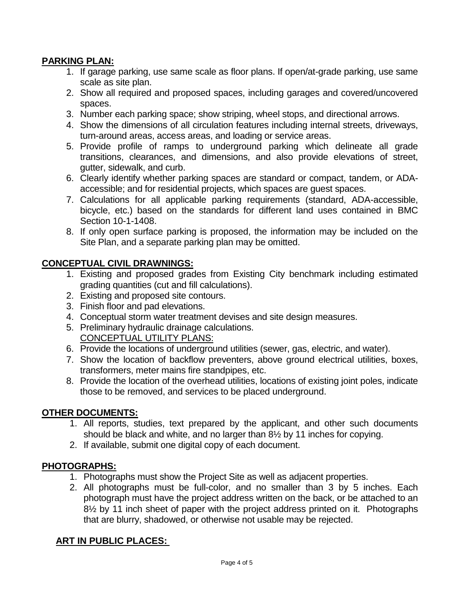### **PARKING PLAN:**

- 1. If garage parking, use same scale as floor plans. If open/at-grade parking, use same scale as site plan.
- 2. Show all required and proposed spaces, including garages and covered/uncovered spaces.
- 3. Number each parking space; show striping, wheel stops, and directional arrows.
- 4. Show the dimensions of all circulation features including internal streets, driveways, turn-around areas, access areas, and loading or service areas.
- 5. Provide profile of ramps to underground parking which delineate all grade transitions, clearances, and dimensions, and also provide elevations of street, gutter, sidewalk, and curb.
- 6. Clearly identify whether parking spaces are standard or compact, tandem, or ADAaccessible; and for residential projects, which spaces are guest spaces.
- 7. Calculations for all applicable parking requirements (standard, ADA-accessible, bicycle, etc.) based on the standards for different land uses contained in BMC Section 10-1-1408.
- 8. If only open surface parking is proposed, the information may be included on the Site Plan, and a separate parking plan may be omitted.

### **CONCEPTUAL CIVIL DRAWNINGS:**

- 1. Existing and proposed grades from Existing City benchmark including estimated grading quantities (cut and fill calculations).
- 2. Existing and proposed site contours.
- 3. Finish floor and pad elevations.
- 4. Conceptual storm water treatment devises and site design measures.
- 5. Preliminary hydraulic drainage calculations. CONCEPTUAL UTILITY PLANS:
- 6. Provide the locations of underground utilities (sewer, gas, electric, and water).
- 7. Show the location of backflow preventers, above ground electrical utilities, boxes, transformers, meter mains fire standpipes, etc.
- 8. Provide the location of the overhead utilities, locations of existing joint poles, indicate those to be removed, and services to be placed underground.

#### **OTHER DOCUMENTS:**

- 1. All reports, studies, text prepared by the applicant, and other such documents should be black and white, and no larger than 8½ by 11 inches for copying.
- 2. If available, submit one digital copy of each document.

### **PHOTOGRAPHS:**

- 1. Photographs must show the Project Site as well as adjacent properties.
- 2. All photographs must be full-color, and no smaller than 3 by 5 inches. Each photograph must have the project address written on the back, or be attached to an 8½ by 11 inch sheet of paper with the project address printed on it. Photographs that are blurry, shadowed, or otherwise not usable may be rejected.

### **ART IN PUBLIC PLACES:**